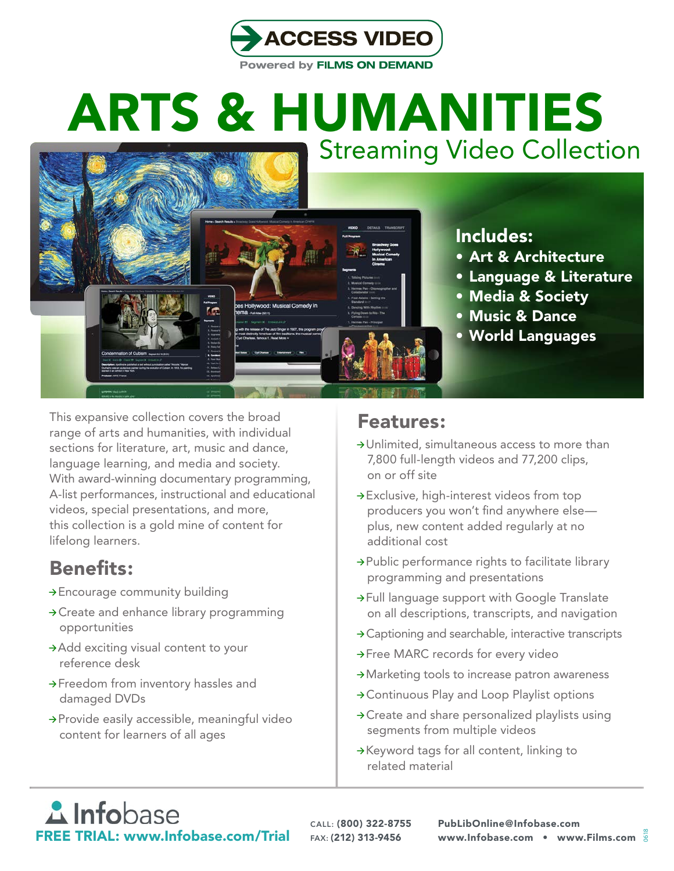

# ARTS & HUMANITIES Streaming Video Collection



- • Art & Architecture
- • Language & Literature
- • Media & Society
- • Music & Dance
- • World Languages

This expansive collection covers the broad range of arts and humanities, with individual sections for literature, art, music and dance, language learning, and media and society. With award-winning documentary programming, A-list performances, instructional and educational videos, special presentations, and more, this collection is a gold mine of content for lifelong learners.

### Benefits:

- $\rightarrow$  Encourage community building
- $\rightarrow$  Create and enhance library programming opportunities
- $\rightarrow$  Add exciting visual content to your reference desk
- $\rightarrow$  Freedom from inventory hassles and damaged DVDs
- $\rightarrow$  Provide easily accessible, meaningful video content for learners of all ages

### Features:

- $\rightarrow$  Unlimited, simultaneous access to more than 7,800 full-length videos and 77,200 clips, on or off site
- $\rightarrow$  Exclusive, high-interest videos from top producers you won't find anywhere else plus, new content added regularly at no additional cost
- $\rightarrow$  Public performance rights to facilitate library programming and presentations
- $\rightarrow$  Full language support with Google Translate on all descriptions, transcripts, and navigation
- $\rightarrow$  Captioning and searchable, interactive transcripts
- $\rightarrow$  Free MARC records for every video
- $\rightarrow$  Marketing tools to increase patron awareness
- $\rightarrow$  Continuous Play and Loop Playlist options
- $\rightarrow$  Create and share personalized playlists using segments from multiple videos
- $\rightarrow$  Keyword tags for all content, linking to related material

## **A** Infobase FREE TRIAL: www.Infobase.com/Trial